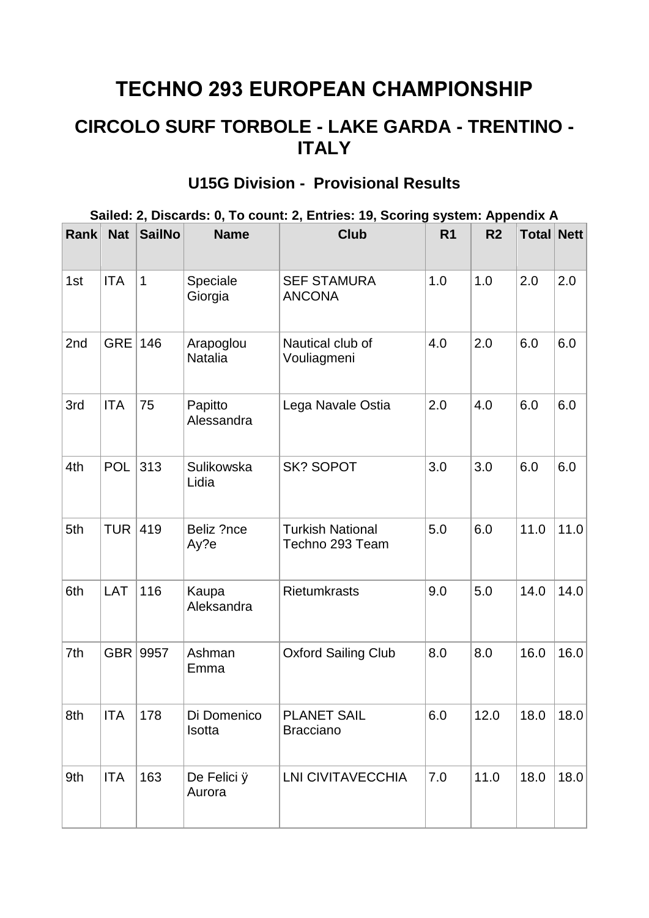## **TECHNO 293 EUROPEAN CHAMPIONSHIP**

## **CIRCOLO SURF TORBOLE - LAKE GARDA - TRENTINO - ITALY**

## **Sailed: 2, Discards: 0, To count: 2, Entries: 19, Scoring system: Appendix A Rank Nat SailNo Name Club R1 R2 Total Nett** 1st | ITA | 1 | Speciale Giorgia SEF STAMURA ANCONA 1.0  $\vert$  1.0  $\vert$  2.0  $\vert$  2.0 2nd  $|GRE|146$  Arapoglou Natalia Nautical club of Vouliagmeni 4.0  $\vert$  2.0  $\vert$  6.0  $\vert$  6.0 3rd ITA 75 Papitto Alessandra Lega Navale Ostia  $\begin{array}{|c|c|c|c|c|c|} \hline 2.0 & 4.0 & 6.0 & 6.0 \hline \end{array}$ 4th POL 313 Sulikowska Lidia SK? SOPOT 3.0 3.0 6.0 6.0 5th  $|TUR|$  419 Beliz ?nce Ay?e Turkish National Techno 293 Team  $5.0$  6.0 11.0 11.0 6th LAT 116 Kaupa Aleksandra Rietumkrasts 9.0 5.0 14.0 14.0 7th GBR 9957 Ashman Emma Oxford Sailing Club 8.0 8.0 16.0 16.0 8th ITA 178 Di Domenico **Isotta** PLANET SAIL Bracciano 6.0 12.0 18.0 18.0 9th  $\vert$  ITA 163 De Felici  $\ddot{y}$ Aurora LNI CIVITAVECCHIA 7.0 11.0 18.0 18.0

## **U15G Division - Provisional Results**